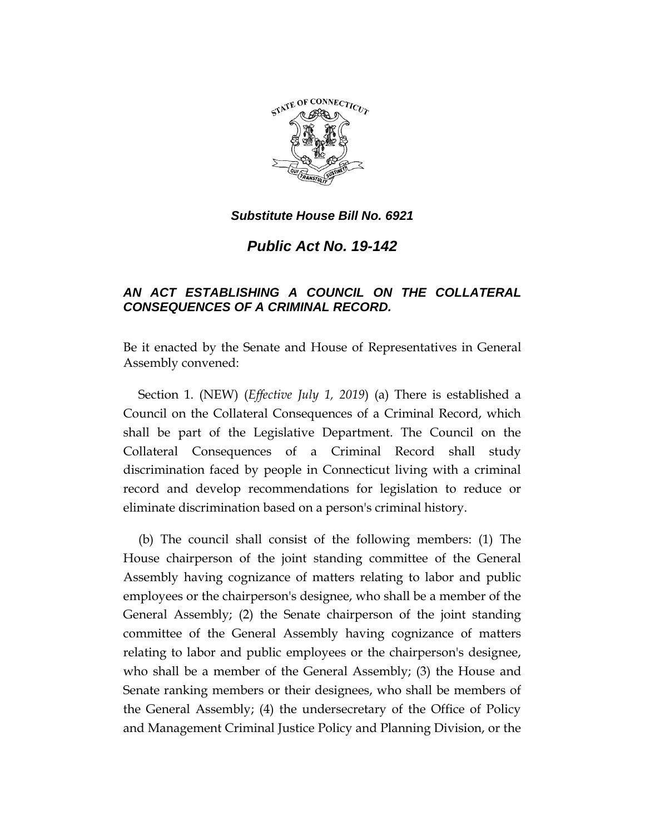

*Public Act No. 19-142*

## *AN ACT ESTABLISHING A COUNCIL ON THE COLLATERAL CONSEQUENCES OF A CRIMINAL RECORD.*

Be it enacted by the Senate and House of Representatives in General Assembly convened:

Section 1. (NEW) (*Effective July 1, 2019*) (a) There is established a Council on the Collateral Consequences of a Criminal Record, which shall be part of the Legislative Department. The Council on the Collateral Consequences of a Criminal Record shall study discrimination faced by people in Connecticut living with a criminal record and develop recommendations for legislation to reduce or eliminate discrimination based on a person's criminal history.

(b) The council shall consist of the following members: (1) The House chairperson of the joint standing committee of the General Assembly having cognizance of matters relating to labor and public employees or the chairperson's designee, who shall be a member of the General Assembly; (2) the Senate chairperson of the joint standing committee of the General Assembly having cognizance of matters relating to labor and public employees or the chairperson's designee, who shall be a member of the General Assembly; (3) the House and Senate ranking members or their designees, who shall be members of the General Assembly; (4) the undersecretary of the Office of Policy and Management Criminal Justice Policy and Planning Division, or the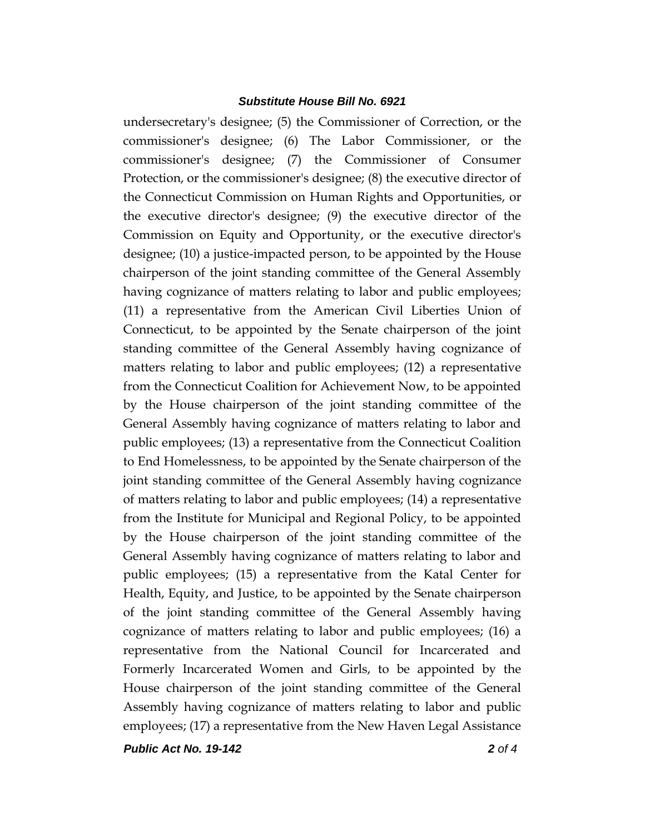undersecretary's designee; (5) the Commissioner of Correction, or the commissioner's designee; (6) The Labor Commissioner, or the commissioner's designee; (7) the Commissioner of Consumer Protection, or the commissioner's designee; (8) the executive director of the Connecticut Commission on Human Rights and Opportunities, or the executive director's designee; (9) the executive director of the Commission on Equity and Opportunity, or the executive director's designee; (10) a justice-impacted person, to be appointed by the House chairperson of the joint standing committee of the General Assembly having cognizance of matters relating to labor and public employees; (11) a representative from the American Civil Liberties Union of Connecticut, to be appointed by the Senate chairperson of the joint standing committee of the General Assembly having cognizance of matters relating to labor and public employees; (12) a representative from the Connecticut Coalition for Achievement Now, to be appointed by the House chairperson of the joint standing committee of the General Assembly having cognizance of matters relating to labor and public employees; (13) a representative from the Connecticut Coalition to End Homelessness, to be appointed by the Senate chairperson of the joint standing committee of the General Assembly having cognizance of matters relating to labor and public employees; (14) a representative from the Institute for Municipal and Regional Policy, to be appointed by the House chairperson of the joint standing committee of the General Assembly having cognizance of matters relating to labor and public employees; (15) a representative from the Katal Center for Health, Equity, and Justice, to be appointed by the Senate chairperson of the joint standing committee of the General Assembly having cognizance of matters relating to labor and public employees; (16) a representative from the National Council for Incarcerated and Formerly Incarcerated Women and Girls, to be appointed by the House chairperson of the joint standing committee of the General Assembly having cognizance of matters relating to labor and public employees; (17) a representative from the New Haven Legal Assistance

*Public Act No. 19-142 2 of 4*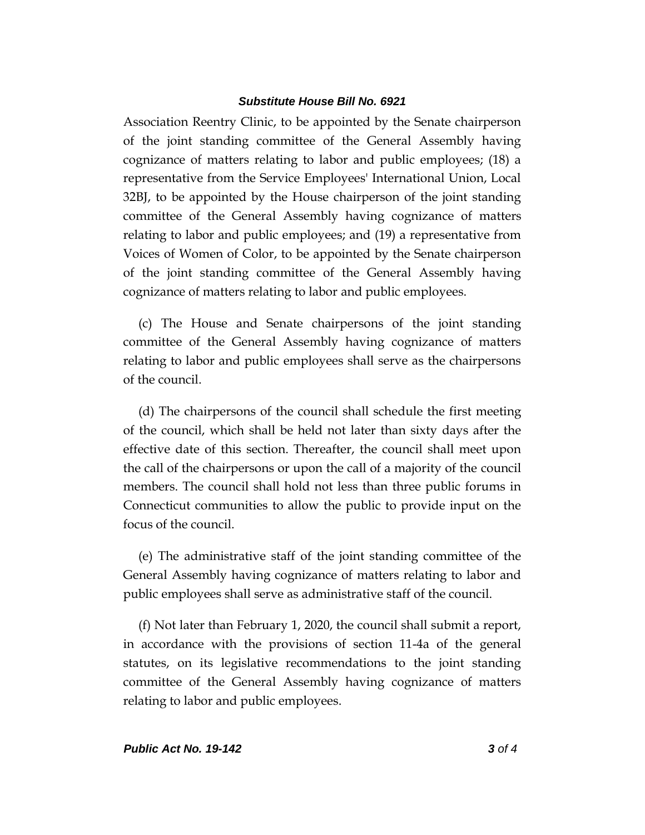Association Reentry Clinic, to be appointed by the Senate chairperson of the joint standing committee of the General Assembly having cognizance of matters relating to labor and public employees; (18) a representative from the Service Employees' International Union, Local 32BJ, to be appointed by the House chairperson of the joint standing committee of the General Assembly having cognizance of matters relating to labor and public employees; and (19) a representative from Voices of Women of Color, to be appointed by the Senate chairperson of the joint standing committee of the General Assembly having cognizance of matters relating to labor and public employees.

(c) The House and Senate chairpersons of the joint standing committee of the General Assembly having cognizance of matters relating to labor and public employees shall serve as the chairpersons of the council.

(d) The chairpersons of the council shall schedule the first meeting of the council, which shall be held not later than sixty days after the effective date of this section. Thereafter, the council shall meet upon the call of the chairpersons or upon the call of a majority of the council members. The council shall hold not less than three public forums in Connecticut communities to allow the public to provide input on the focus of the council.

(e) The administrative staff of the joint standing committee of the General Assembly having cognizance of matters relating to labor and public employees shall serve as administrative staff of the council.

(f) Not later than February 1, 2020, the council shall submit a report, in accordance with the provisions of section 11-4a of the general statutes, on its legislative recommendations to the joint standing committee of the General Assembly having cognizance of matters relating to labor and public employees.